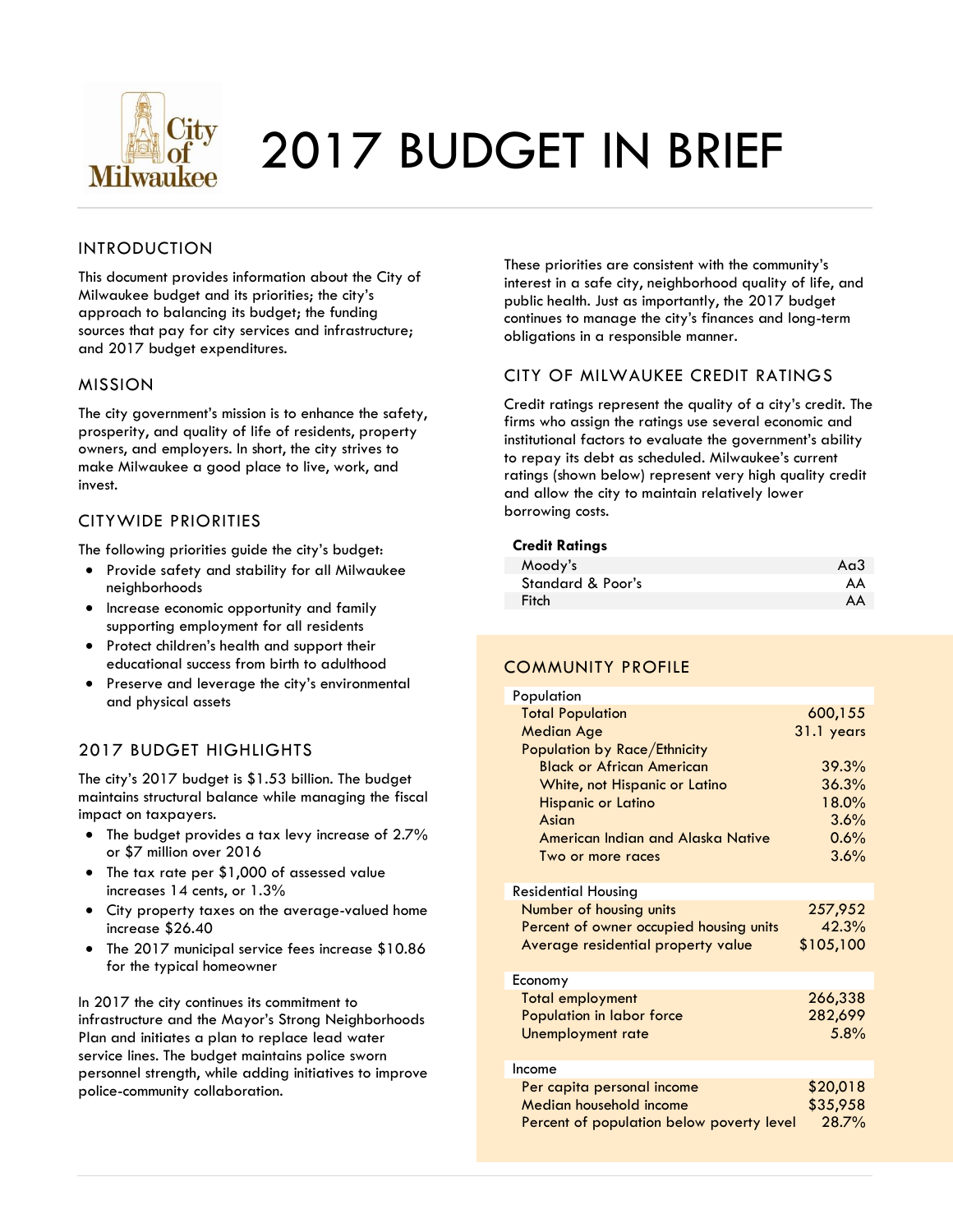

# 2017 BUDGET IN BRIEF

#### INTRODUCTION

This document provides information about the City of Milwaukee budget and its priorities; the city's approach to balancing its budget; the funding sources that pay for city services and infrastructure; and 2017 budget expenditures.

#### MISSION

The city government's mission is to enhance the safety, prosperity, and quality of life of residents, property owners, and employers. In short, the city strives to make Milwaukee a good place to live, work, and invest.

#### CITYWIDE PRIORITIES

The following priorities guide the city's budget:

- Provide safety and stability for all Milwaukee neighborhoods
- Increase economic opportunity and family supporting employment for all residents
- Protect children's health and support their educational success from birth to adulthood
- Preserve and leverage the city's environmental and physical assets

#### 2017 BUDGET HIGHLIGHTS

The city's 2017 budget is \$1.53 billion. The budget maintains structural balance while managing the fiscal impact on taxpayers.

- The budget provides a tax levy increase of 2.7% or \$7 million over 2016
- The tax rate per \$1,000 of assessed value increases 14 cents, or 1.3%
- City property taxes on the average-valued home increase \$26.40
- The 2017 municipal service fees increase \$10.86 for the typical homeowner

In 2017 the city continues its commitment to infrastructure and the Mayor's Strong Neighborhoods Plan and initiates a plan to replace lead water service lines. The budget maintains police sworn personnel strength, while adding initiatives to improve police-community collaboration.

These priorities are consistent with the community's interest in a safe city, neighborhood quality of life, and public health. Just as importantly, the 2017 budget continues to manage the city's finances and long-term obligations in a responsible manner.

#### CITY OF MILWAUKEE CREDIT RATINGS

Credit ratings represent the quality of a city's credit. The firms who assign the ratings use several economic and institutional factors to evaluate the government's ability to repay its debt as scheduled. Milwaukee's current ratings (shown below) represent very high quality credit and allow the city to maintain relatively lower borrowing costs.

#### **Credit Ratings**

| Moody's           | Aa3 |
|-------------------|-----|
| Standard & Poor's | AА  |
| Fitch             | AА  |

#### COMMUNITY PROFILE

| Population                                |            |
|-------------------------------------------|------------|
| <b>Total Population</b>                   | 600,155    |
| <b>Median Age</b>                         | 31.1 years |
| Population by Race/Ethnicity              |            |
| <b>Black or African American</b>          | 39.3%      |
| White, not Hispanic or Latino             | 36.3%      |
| <b>Hispanic or Latino</b>                 | 18.0%      |
| Asian                                     | 3.6%       |
| American Indian and Alaska Native         | 0.6%       |
| Two or more races                         | 3.6%       |
|                                           |            |
| Residential Housing                       |            |
| Number of housing units                   | 257,952    |
| Percent of owner occupied housing units   | 42.3%      |
| Average residential property value        | \$105,100  |
|                                           |            |
| Economy                                   |            |
| <b>Total employment</b>                   | 266,338    |
| Population in labor force                 | 282,699    |
| Unemployment rate                         | 5.8%       |
|                                           |            |
| Income                                    |            |
| Per capita personal income                | \$20,018   |
| Median household income                   | \$35,958   |
| Percent of population below poverty level | 28.7%      |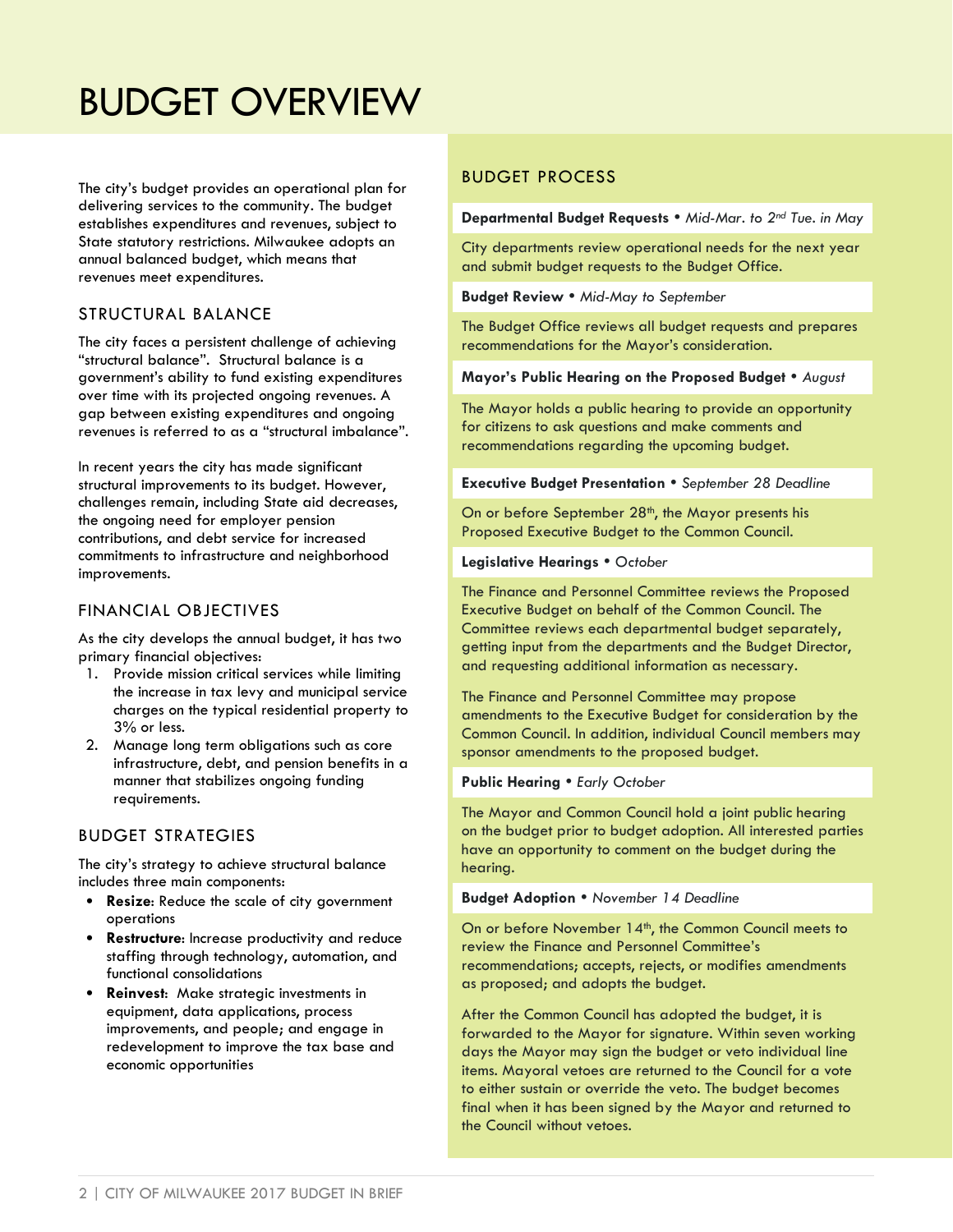## BUDGET OVERVIEW

The city's budget provides an operational plan for delivering services to the community. The budget establishes expenditures and revenues, subject to State statutory restrictions. Milwaukee adopts an annual balanced budget, which means that revenues meet expenditures.

#### STRUCTURAL BALANCE

The city faces a persistent challenge of achieving "structural balance". Structural balance is a government's ability to fund existing expenditures over time with its projected ongoing revenues. A gap between existing expenditures and ongoing revenues is referred to as a "structural imbalance".

In recent years the city has made significant structural improvements to its budget. However, challenges remain, including State aid decreases, the ongoing need for employer pension contributions, and debt service for increased commitments to infrastructure and neighborhood improvements.

#### FINANCIAL OBJECTIVES

As the city develops the annual budget, it has two primary financial objectives:

- 1. Provide mission critical services while limiting the increase in tax levy and municipal service charges on the typical residential property to 3% or less.
- 2. Manage long term obligations such as core infrastructure, debt, and pension benefits in a manner that stabilizes ongoing funding requirements.

#### BUDGET STRATEGIES

The city's strategy to achieve structural balance includes three main components:

- **Resize**: Reduce the scale of city government operations
- **Restructure**: Increase productivity and reduce staffing through technology, automation, and functional consolidations
- **Reinvest**: Make strategic investments in equipment, data applications, process improvements, and people; and engage in redevelopment to improve the tax base and economic opportunities

#### BUDGET PROCESS

**Departmental Budget Requests** *Mid-Mar. to 2nd Tue. in May*

City departments review operational needs for the next year and submit budget requests to the Budget Office.

**Budget Review** *Mid-May to September*

The Budget Office reviews all budget requests and prepares recommendations for the Mayor's consideration.

#### **Mayor's Public Hearing on the Proposed Budget** *August*

The Mayor holds a public hearing to provide an opportunity for citizens to ask questions and make comments and recommendations regarding the upcoming budget.

**Executive Budget Presentation**  *September 28 Deadline*

On or before September 28<sup>th</sup>, the Mayor presents his Proposed Executive Budget to the Common Council.

#### **Legislative Hearings**  *October*

The Finance and Personnel Committee reviews the Proposed Executive Budget on behalf of the Common Council. The Committee reviews each departmental budget separately, getting input from the departments and the Budget Director, and requesting additional information as necessary.

The Finance and Personnel Committee may propose amendments to the Executive Budget for consideration by the Common Council. In addition, individual Council members may sponsor amendments to the proposed budget.

#### **Public Hearing • Early October**

The Mayor and Common Council hold a joint public hearing on the budget prior to budget adoption. All interested parties have an opportunity to comment on the budget during the hearing.

#### **Budget Adoption** *November 14 Deadline*

On or before November 14<sup>th</sup>, the Common Council meets to review the Finance and Personnel Committee's recommendations; accepts, rejects, or modifies amendments as proposed; and adopts the budget.

After the Common Council has adopted the budget, it is forwarded to the Mayor for signature. Within seven working days the Mayor may sign the budget or veto individual line items. Mayoral vetoes are returned to the Council for a vote to either sustain or override the veto. The budget becomes final when it has been signed by the Mayor and returned to the Council without vetoes.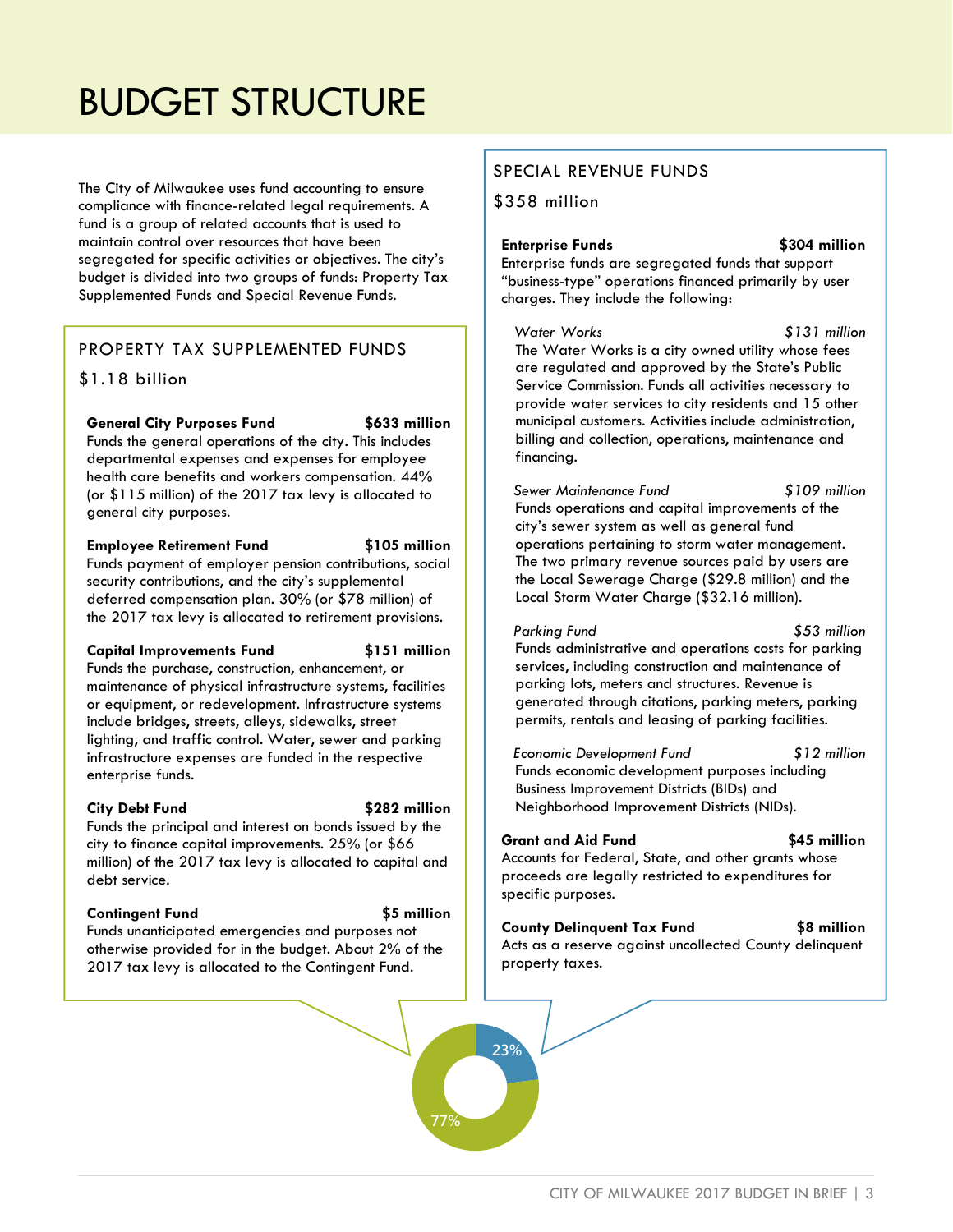## BUDGET STRUCTURE

The City of Milwaukee uses fund accounting to ensure compliance with finance-related legal requirements. A fund is a group of related accounts that is used to maintain control over resources that have been segregated for specific activities or objectives. The city's budget is divided into two groups of funds: Property Tax Supplemented Funds and Special Revenue Funds.

#### PROPERTY TAX SUPPLEMENTED FUNDS

#### \$1.18 billion

#### **General City Purposes Fund \$633 million**

Funds the general operations of the city. This includes departmental expenses and expenses for employee health care benefits and workers compensation. 44% (or \$115 million) of the 2017 tax levy is allocated to general city purposes.

#### **Employee Retirement Fund \$105 million**

Funds payment of employer pension contributions, social security contributions, and the city's supplemental deferred compensation plan. 30% (or \$78 million) of the 2017 tax levy is allocated to retirement provisions.

#### **Capital Improvements Fund \$151 million**

Funds the purchase, construction, enhancement, or maintenance of physical infrastructure systems, facilities or equipment, or redevelopment. Infrastructure systems include bridges, streets, alleys, sidewalks, street lighting, and traffic control. Water, sewer and parking infrastructure expenses are funded in the respective enterprise funds.

#### **City Debt Fund \$282 million**

Funds the principal and interest on bonds issued by the city to finance capital improvements. 25% (or \$66 million) of the 2017 tax levy is allocated to capital and debt service.

#### **Contingent Fund \$5 million**

Funds unanticipated emergencies and purposes not otherwise provided for in the budget. About 2% of the 2017 tax levy is allocated to the Contingent Fund.

### SPECIAL REVENUE FUNDS

\$358 million

#### **Enterprise Funds \$304 million**

Enterprise funds are segregated funds that support "business-type" operations financed primarily by user charges. They include the following:

*Water Works \$131 million* The Water Works is a city owned utility whose fees are regulated and approved by the State's Public Service Commission. Funds all activities necessary to provide water services to city residents and 15 other municipal customers. Activities include administration, billing and collection, operations, maintenance and financing.

*Sewer Maintenance Fund \$109 million* Funds operations and capital improvements of the city's sewer system as well as general fund operations pertaining to storm water management. The two primary revenue sources paid by users are the Local Sewerage Charge (\$29.8 million) and the Local Storm Water Charge (\$32.16 million).

*Parking Fund \$53 million* Funds administrative and operations costs for parking services, including construction and maintenance of parking lots, meters and structures. Revenue is generated through citations, parking meters, parking permits, rentals and leasing of parking facilities.

*Economic Development Fund \$12 million* Funds economic development purposes including Business Improvement Districts (BIDs) and Neighborhood Improvement Districts (NIDs).

#### **Grant and Aid Fund \$45 million**

Accounts for Federal, State, and other grants whose proceeds are legally restricted to expenditures for specific purposes.

### **County Delinquent Tax Fund \$8 million**

Acts as a reserve against uncollected County delinquent property taxes.

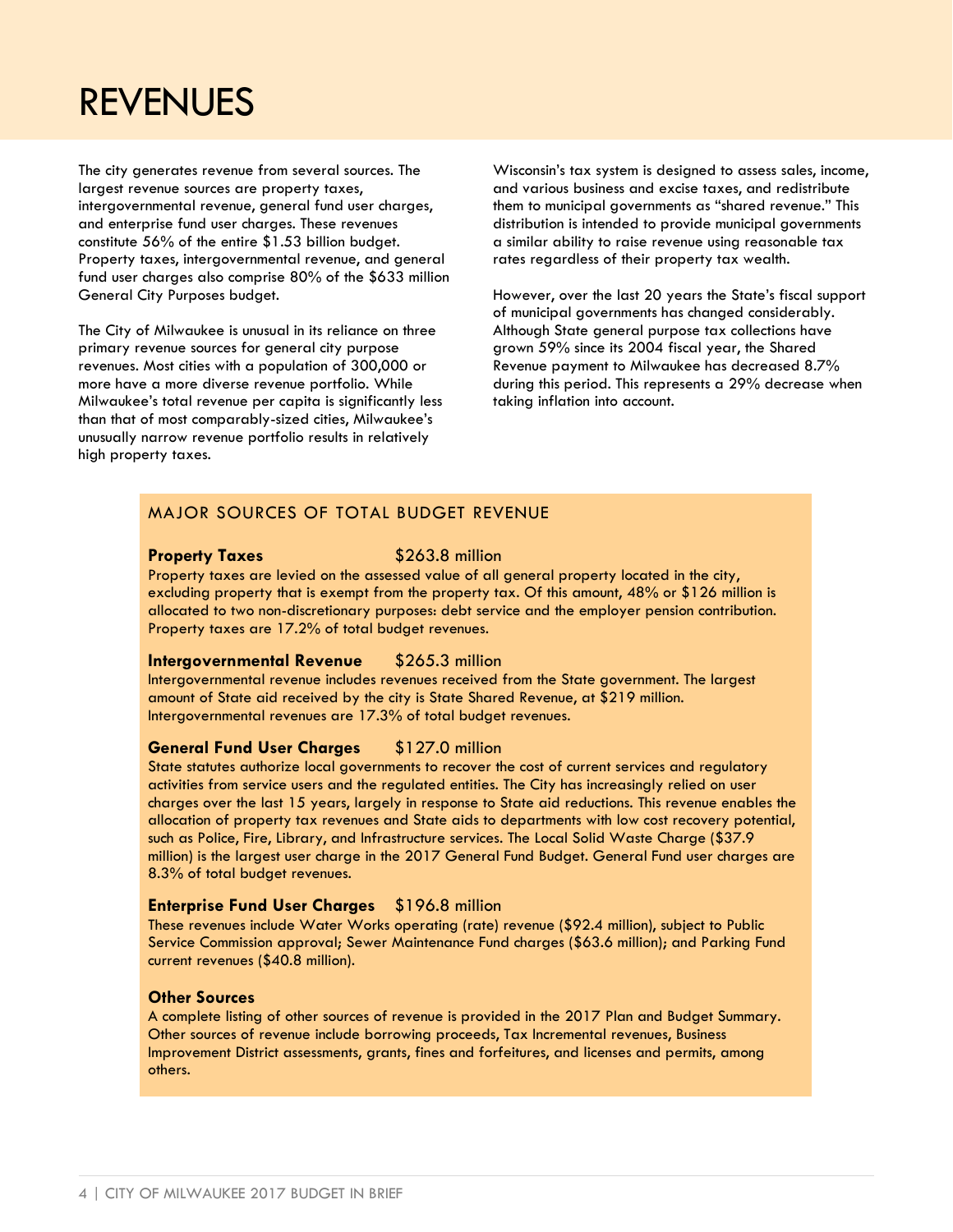### REVENUES

The city generates revenue from several sources. The largest revenue sources are property taxes, intergovernmental revenue, general fund user charges, and enterprise fund user charges. These revenues constitute 56% of the entire \$1.53 billion budget. Property taxes, intergovernmental revenue, and general fund user charges also comprise 80% of the \$633 million General City Purposes budget.

The City of Milwaukee is unusual in its reliance on three primary revenue sources for general city purpose revenues. Most cities with a population of 300,000 or more have a more diverse revenue portfolio. While Milwaukee's total revenue per capita is significantly less than that of most comparably-sized cities, Milwaukee's unusually narrow revenue portfolio results in relatively high property taxes.

Wisconsin's tax system is designed to assess sales, income, and various business and excise taxes, and redistribute them to municipal governments as "shared revenue." This distribution is intended to provide municipal governments a similar ability to raise revenue using reasonable tax rates regardless of their property tax wealth.

However, over the last 20 years the State's fiscal support of municipal governments has changed considerably. Although State general purpose tax collections have grown 59% since its 2004 fiscal year, the Shared Revenue payment to Milwaukee has decreased 8.7% during this period. This represents a 29% decrease when taking inflation into account.

#### MAJOR SOURCES OF TOTAL BUDGET REVENUE

#### **Property Taxes** \$263.8 million

Property taxes are levied on the assessed value of all general property located in the city, excluding property that is exempt from the property tax. Of this amount, 48% or \$126 million is allocated to two non-discretionary purposes: debt service and the employer pension contribution. Property taxes are 17.2% of total budget revenues.

#### **Intergovernmental Revenue** \$265.3 million

Intergovernmental revenue includes revenues received from the State government. The largest amount of State aid received by the city is State Shared Revenue, at \$219 million. Intergovernmental revenues are 17.3% of total budget revenues.

#### **General Fund User Charges** \$127.0 million

State statutes authorize local governments to recover the cost of current services and regulatory activities from service users and the regulated entities. The City has increasingly relied on user charges over the last 15 years, largely in response to State aid reductions. This revenue enables the allocation of property tax revenues and State aids to departments with low cost recovery potential, such as Police, Fire, Library, and Infrastructure services. The Local Solid Waste Charge (\$37.9 million) is the largest user charge in the 2017 General Fund Budget. General Fund user charges are 8.3% of total budget revenues.

#### **Enterprise Fund User Charges** \$196.8 million

These revenues include Water Works operating (rate) revenue (\$92.4 million), subject to Public Service Commission approval; Sewer Maintenance Fund charges (\$63.6 million); and Parking Fund current revenues (\$40.8 million).

#### **Other Sources**

A complete listing of other sources of revenue is provided in the 2017 Plan and Budget Summary. Other sources of revenue include borrowing proceeds, Tax Incremental revenues, Business Improvement District assessments, grants, fines and forfeitures, and licenses and permits, among others.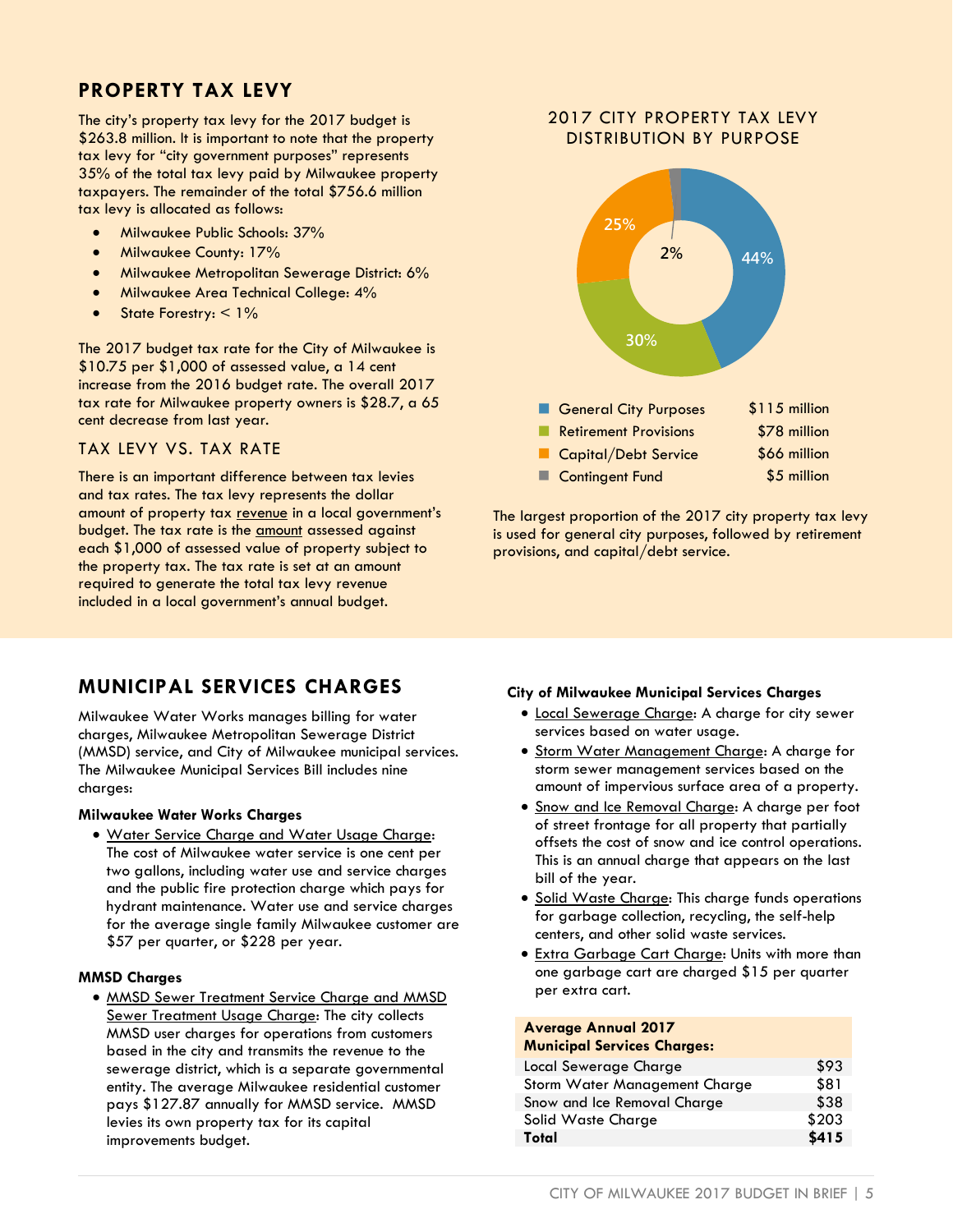### **PROPERTY TAX LEVY**

The city's property tax levy for the 2017 budget is \$263.8 million. It is important to note that the property tax levy for "city government purposes" represents 35% of the total tax levy paid by Milwaukee property taxpayers. The remainder of the total \$756.6 million tax levy is allocated as follows:

- Milwaukee Public Schools: 37%
- Milwaukee County: 17%
- **•** Milwaukee Metropolitan Sewerage District: 6%
- **Milwaukee Area Technical College: 4%**
- $\bullet$  State Forestry:  $\leq 1\%$

The 2017 budget tax rate for the City of Milwaukee is \$10.75 per \$1,000 of assessed value, a 14 cent increase from the 2016 budget rate. The overall 2017 tax rate for Milwaukee property owners is \$28.7, a 65 cent decrease from last year.

#### TAX LEVY VS. TAX RATE

There is an important difference between tax levies and tax rates. The tax levy represents the dollar amount of property tax revenue in a local government's budget. The tax rate is the **amount** assessed against each \$1,000 of assessed value of property subject to the property tax. The tax rate is set at an amount required to generate the total tax levy revenue included in a local government's annual budget.

#### 2017 CITY PROPERTY TAX LEVY DISTRIBUTION BY PURPOSE



The largest proportion of the 2017 city property tax levy is used for general city purposes, followed by retirement provisions, and capital/debt service.

### **MUNICIPAL SERVICES CHARGES**

Milwaukee Water Works manages billing for water charges, Milwaukee Metropolitan Sewerage District (MMSD) service, and City of Milwaukee municipal services. The Milwaukee Municipal Services Bill includes nine charges:

#### **Milwaukee Water Works Charges**

 Water Service Charge and Water Usage Charge: The cost of Milwaukee water service is one cent per two gallons, including water use and service charges and the public fire protection charge which pays for hydrant maintenance. Water use and service charges for the average single family Milwaukee customer are \$57 per quarter, or \$228 per year.

#### **MMSD Charges**

 MMSD Sewer Treatment Service Charge and MMSD Sewer Treatment Usage Charge: The city collects MMSD user charges for operations from customers based in the city and transmits the revenue to the sewerage district, which is a separate governmental entity. The average Milwaukee residential customer pays \$127.87 annually for MMSD service. MMSD levies its own property tax for its capital improvements budget.

#### **City of Milwaukee Municipal Services Charges**

- Local Sewerage Charge: A charge for city sewer services based on water usage.
- Storm Water Management Charge: A charge for storm sewer management services based on the amount of impervious surface area of a property.
- Snow and Ice Removal Charge: A charge per foot of street frontage for all property that partially offsets the cost of snow and ice control operations. This is an annual charge that appears on the last bill of the year.
- Solid Waste Charge: This charge funds operations for garbage collection, recycling, the self-help centers, and other solid waste services.
- Extra Garbage Cart Charge: Units with more than one garbage cart are charged \$15 per quarter per extra cart.

#### **Average Annual 2017 Municipal Services Charges:**

| Local Sewerage Charge         | \$93  |
|-------------------------------|-------|
| Storm Water Management Charge | \$81  |
| Snow and Ice Removal Charge   | \$38  |
| Solid Waste Charge            | \$203 |
| Total                         | \$415 |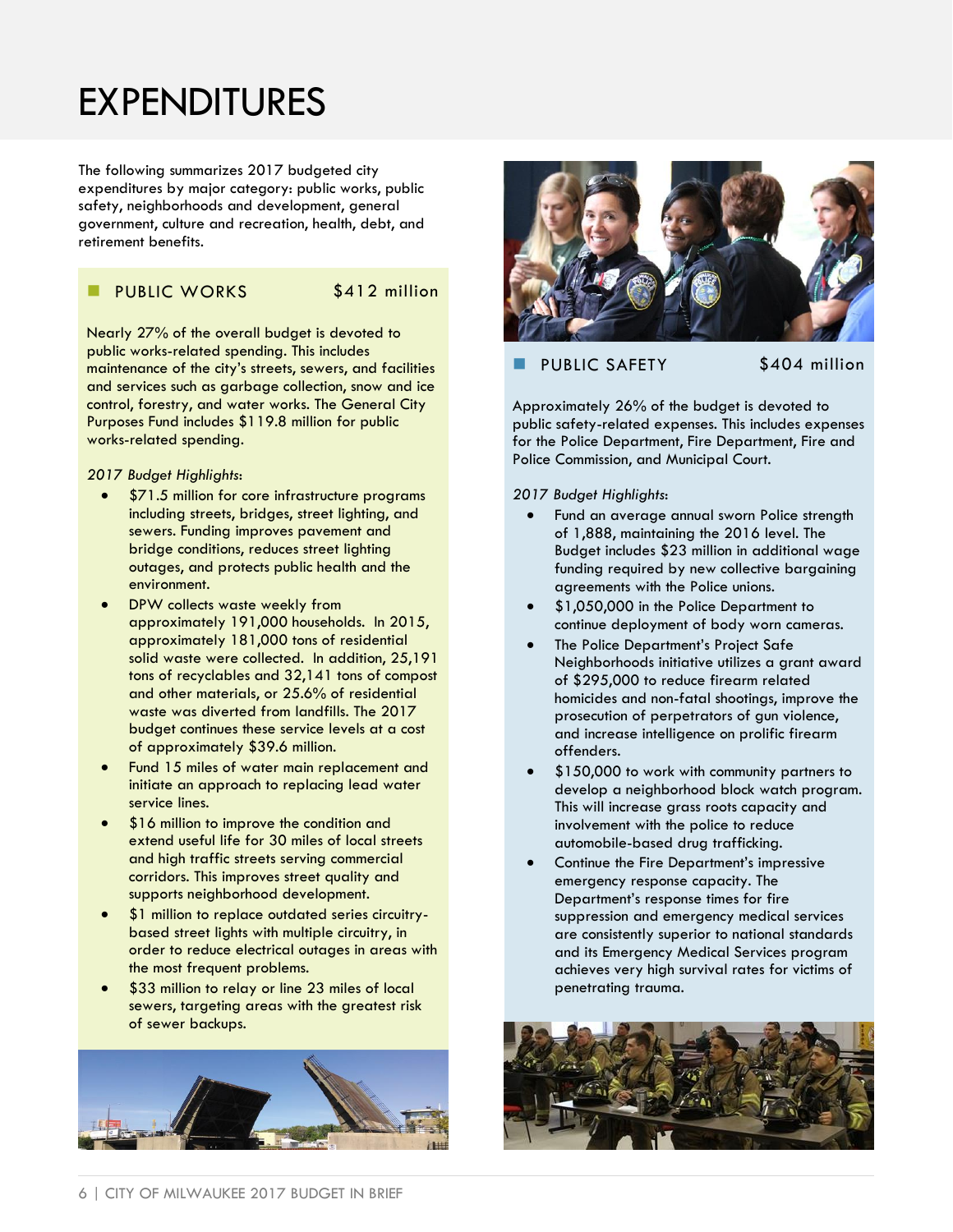## EXPENDITURES

The following summarizes 2017 budgeted city expenditures by major category: public works, public safety, neighborhoods and development, general government, culture and recreation, health, debt, and retirement benefits.

#### PUBLIC WORKS \$412 million

Nearly 27% of the overall budget is devoted to public works-related spending. This includes maintenance of the city's streets, sewers, and facilities and services such as garbage collection, snow and ice control, forestry, and water works. The General City Purposes Fund includes \$119.8 million for public works-related spending.

#### *2017 Budget Highlights*:

- **\$71.5 million for core infrastructure programs** including streets, bridges, street lighting, and sewers. Funding improves pavement and bridge conditions, reduces street lighting outages, and protects public health and the environment.
- DPW collects waste weekly from approximately 191,000 households. In 2015, approximately 181,000 tons of residential solid waste were collected. In addition, 25,191 tons of recyclables and 32,141 tons of compost and other materials, or 25.6% of residential waste was diverted from landfills. The 2017 budget continues these service levels at a cost of approximately \$39.6 million.
- Fund 15 miles of water main replacement and initiate an approach to replacing lead water service lines.
- \$16 million to improve the condition and extend useful life for 30 miles of local streets and high traffic streets serving commercial corridors. This improves street quality and supports neighborhood development.
- \$1 million to replace outdated series circuitrybased street lights with multiple circuitry, in order to reduce electrical outages in areas with the most frequent problems.
- \$33 million to relay or line 23 miles of local sewers, targeting areas with the greatest risk of sewer backups.





#### PUBLIC SAFETY \$404 million

Approximately 26% of the budget is devoted to public safety-related expenses. This includes expenses for the Police Department, Fire Department, Fire and Police Commission, and Municipal Court.

*2017 Budget Highlights*:

- Fund an average annual sworn Police strength of 1,888, maintaining the 2016 level. The Budget includes \$23 million in additional wage funding required by new collective bargaining agreements with the Police unions.
- \$1,050,000 in the Police Department to continue deployment of body worn cameras.
- The Police Department's Project Safe Neighborhoods initiative utilizes a grant award of \$295,000 to reduce firearm related homicides and non-fatal shootings, improve the prosecution of perpetrators of gun violence, and increase intelligence on prolific firearm offenders.
- \$150,000 to work with community partners to develop a neighborhood block watch program. This will increase grass roots capacity and involvement with the police to reduce automobile-based drug trafficking.
- Continue the Fire Department's impressive emergency response capacity. The Department's response times for fire suppression and emergency medical services are consistently superior to national standards and its Emergency Medical Services program achieves very high survival rates for victims of penetrating trauma.

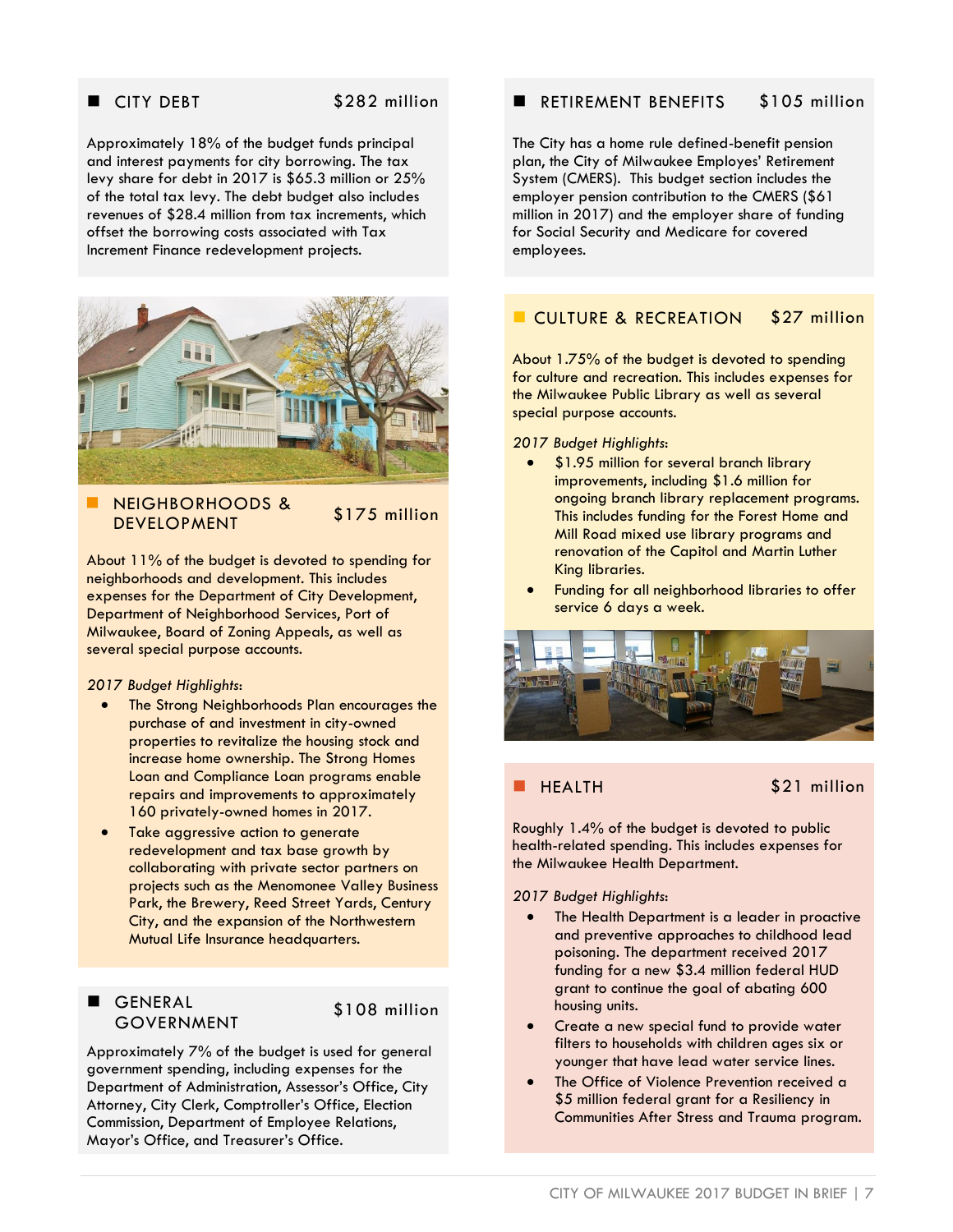#### CITY DEBT \$282 million

Approximately 18% of the budget funds principal and interest payments for city borrowing. The tax levy share for debt in 2017 is \$65.3 million or 25% of the total tax levy. The debt budget also includes revenues of \$28.4 million from tax increments, which offset the borrowing costs associated with Tax Increment Finance redevelopment projects.



 NEIGHBORHOODS & NEIOIIDOKIIOODS & \$175 million

About 11% of the budget is devoted to spending for neighborhoods and development. This includes expenses for the Department of City Development, Department of Neighborhood Services, Port of Milwaukee, Board of Zoning Appeals, as well as several special purpose accounts.

#### *2017 Budget Highlights*:

- The Strong Neighborhoods Plan encourages the purchase of and investment in city-owned properties to revitalize the housing stock and increase home ownership. The Strong Homes Loan and Compliance Loan programs enable repairs and improvements to approximately 160 privately-owned homes in 2017.
- Take aggressive action to generate redevelopment and tax base growth by collaborating with private sector partners on projects such as the Menomonee Valley Business Park, the Brewery, Reed Street Yards, Century City, and the expansion of the Northwestern Mutual Life Insurance headquarters.

#### GENERAL GOVERNMENT

\$108 million

Approximately 7% of the budget is used for general government spending, including expenses for the Department of Administration, Assessor's Office, City Attorney, City Clerk, Comptroller's Office, Election Commission, Department of Employee Relations, Mayor's Office, and Treasurer's Office.

#### **RETIREMENT BENEFITS** \$105 million

The City has a home rule defined-benefit pension plan, the City of Milwaukee Employes' Retirement System (CMERS). This budget section includes the employer pension contribution to the CMERS (\$61 million in 2017) and the employer share of funding for Social Security and Medicare for covered employees.

#### CULTURE & RECREATION \$27 million

About 1.75% of the budget is devoted to spending for culture and recreation. This includes expenses for the Milwaukee Public Library as well as several special purpose accounts.

#### *2017 Budget Highlights*:

- \$1.95 million for several branch library improvements, including \$1.6 million for ongoing branch library replacement programs. This includes funding for the Forest Home and Mill Road mixed use library programs and renovation of the Capitol and Martin Luther King libraries.
- Funding for all neighborhood libraries to offer service 6 days a week.



#### HEALTH \$21 million

Roughly 1.4% of the budget is devoted to public health-related spending. This includes expenses for the Milwaukee Health Department.

#### *2017 Budget Highlights*:

- The Health Department is a leader in proactive and preventive approaches to childhood lead poisoning. The department received 2017 funding for a new \$3.4 million federal HUD grant to continue the goal of abating 600 housing units.
- Create a new special fund to provide water filters to households with children ages six or younger that have lead water service lines.
- The Office of Violence Prevention received a \$5 million federal grant for a Resiliency in Communities After Stress and Trauma program.